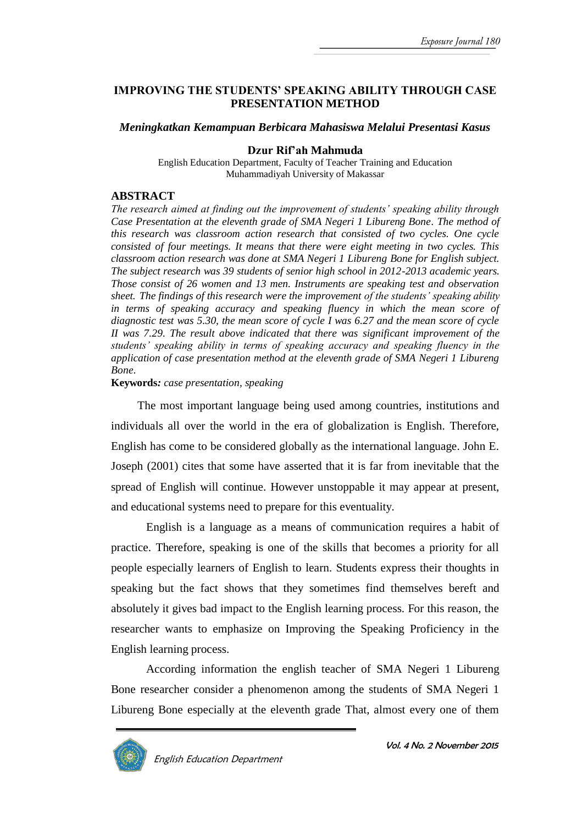#### **IMPROVING THE STUDENTS' SPEAKING ABILITY THROUGH CASE PRESENTATION METHOD**

#### *Meningkatkan Kemampuan Berbicara Mahasiswa Melalui Presentasi Kasus*

#### **Dzur Rif'ah Mahmuda**

English Education Department, Faculty of Teacher Training and Education Muhammadiyah University of Makassar

#### **ABSTRACT**

*The research aimed at finding out the improvement of students' speaking ability through Case Presentation at the eleventh grade of SMA Negeri 1 Libureng Bone. The method of this research was classroom action research that consisted of two cycles. One cycle consisted of four meetings. It means that there were eight meeting in two cycles. This classroom action research was done at SMA Negeri 1 Libureng Bone for English subject. The subject research was 39 students of senior high school in 2012-2013 academic years. Those consist of 26 women and 13 men. Instruments are speaking test and observation sheet. The findings of this research were the improvement of the students' speaking ability*  in terms of speaking accuracy and speaking fluency in which the mean score of *diagnostic test was 5.30, the mean score of cycle I was 6.27 and the mean score of cycle II was 7.29. The result above indicated that there was significant improvement of the students' speaking ability in terms of speaking accuracy and speaking fluency in the application of case presentation method at the eleventh grade of SMA Negeri 1 Libureng Bone*.

#### **Keywords***: case presentation, speaking*

The most important language being used among countries, institutions and individuals all over the world in the era of globalization is English. Therefore, English has come to be considered globally as the international language. John E. Joseph (2001) cites that some have asserted that it is far from inevitable that the spread of English will continue. However unstoppable it may appear at present, and educational systems need to prepare for this eventuality.

English is a language as a means of communication requires a habit of practice. Therefore, speaking is one of the skills that becomes a priority for all people especially learners of English to learn. Students express their thoughts in speaking but the fact shows that they sometimes find themselves bereft and absolutely it gives bad impact to the English learning process. For this reason, the researcher wants to emphasize on Improving the Speaking Proficiency in the English learning process.

According information the english teacher of SMA Negeri 1 Libureng Bone researcher consider a phenomenon among the students of SMA Negeri 1 Libureng Bone especially at the eleventh grade That, almost every one of them

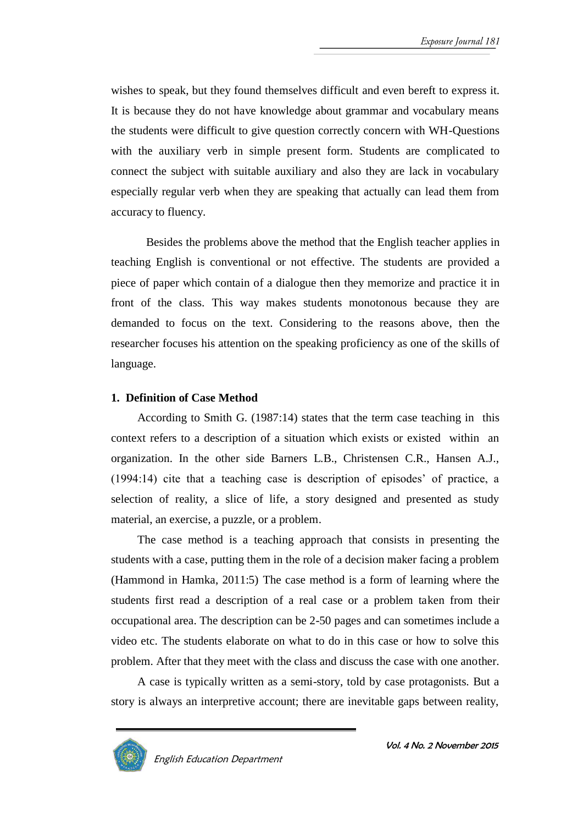wishes to speak, but they found themselves difficult and even bereft to express it. It is because they do not have knowledge about grammar and vocabulary means the students were difficult to give question correctly concern with WH-Questions with the auxiliary verb in simple present form. Students are complicated to connect the subject with suitable auxiliary and also they are lack in vocabulary especially regular verb when they are speaking that actually can lead them from accuracy to fluency.

Besides the problems above the method that the English teacher applies in teaching English is conventional or not effective. The students are provided a piece of paper which contain of a dialogue then they memorize and practice it in front of the class. This way makes students monotonous because they are demanded to focus on the text. Considering to the reasons above, then the researcher focuses his attention on the speaking proficiency as one of the skills of language.

# **1. Definition of Case Method**

According to Smith G. (1987:14) states that the term case teaching in this context refers to a description of a situation which exists or existed within an organization. In the other side Barners L.B., Christensen C.R., Hansen A.J., (1994:14) cite that a teaching case is description of episodes' of practice, a selection of reality, a slice of life, a story designed and presented as study material, an exercise, a puzzle, or a problem.

The case method is a teaching approach that consists in presenting the students with a case, putting them in the role of a decision maker facing a problem (Hammond in Hamka, 2011:5) The case method is a form of learning where the students first read a description of a real case or a problem taken from their occupational area. The description can be 2-50 pages and can sometimes include a video etc. The students elaborate on what to do in this case or how to solve this problem. After that they meet with the class and discuss the case with one another.

A case is typically written as a semi-story, told by case protagonists. But a story is always an interpretive account; there are inevitable gaps between reality,

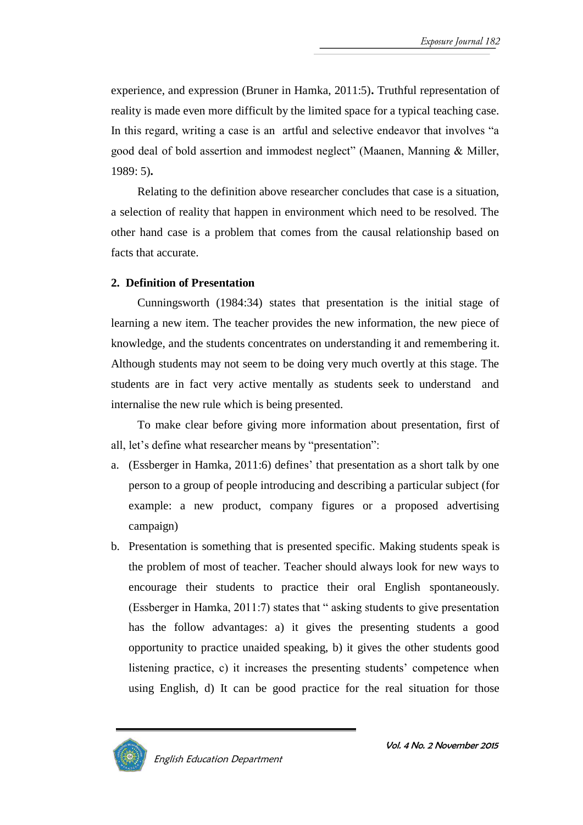experience, and expression (Bruner in Hamka, 2011:5)**.** Truthful representation of reality is made even more difficult by the limited space for a typical teaching case. In this regard, writing a case is an artful and selective endeavor that involves "a good deal of bold assertion and immodest neglect" (Maanen, Manning & Miller, 1989: 5)**.**

Relating to the definition above researcher concludes that case is a situation, a selection of reality that happen in environment which need to be resolved. The other hand case is a problem that comes from the causal relationship based on facts that accurate.

# **2. Definition of Presentation**

Cunningsworth (1984:34) states that presentation is the initial stage of learning a new item. The teacher provides the new information, the new piece of knowledge, and the students concentrates on understanding it and remembering it. Although students may not seem to be doing very much overtly at this stage. The students are in fact very active mentally as students seek to understand and internalise the new rule which is being presented.

To make clear before giving more information about presentation, first of all, let's define what researcher means by "presentation":

- a. (Essberger in Hamka, 2011:6) defines' that presentation as a short talk by one person to a group of people introducing and describing a particular subject (for example: a new product, company figures or a proposed advertising campaign)
- b. Presentation is something that is presented specific. Making students speak is the problem of most of teacher. Teacher should always look for new ways to encourage their students to practice their oral English spontaneously. (Essberger in Hamka, 2011:7) states that " asking students to give presentation has the follow advantages: a) it gives the presenting students a good opportunity to practice unaided speaking, b) it gives the other students good listening practice, c) it increases the presenting students' competence when using English, d) It can be good practice for the real situation for those

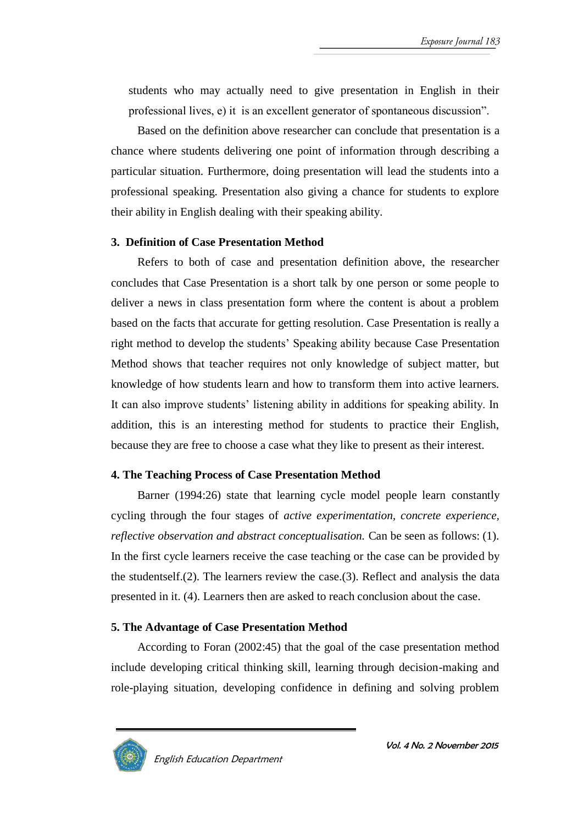students who may actually need to give presentation in English in their professional lives, e) it is an excellent generator of spontaneous discussion".

Based on the definition above researcher can conclude that presentation is a chance where students delivering one point of information through describing a particular situation. Furthermore, doing presentation will lead the students into a professional speaking. Presentation also giving a chance for students to explore their ability in English dealing with their speaking ability.

# **3. Definition of Case Presentation Method**

Refers to both of case and presentation definition above, the researcher concludes that Case Presentation is a short talk by one person or some people to deliver a news in class presentation form where the content is about a problem based on the facts that accurate for getting resolution. Case Presentation is really a right method to develop the students' Speaking ability because Case Presentation Method shows that teacher requires not only knowledge of subject matter, but knowledge of how students learn and how to transform them into active learners. It can also improve students' listening ability in additions for speaking ability. In addition, this is an interesting method for students to practice their English, because they are free to choose a case what they like to present as their interest.

# **4. The Teaching Process of Case Presentation Method**

Barner (1994:26) state that learning cycle model people learn constantly cycling through the four stages of *active experimentation, concrete experience, reflective observation and abstract conceptualisation.* Can be seen as follows: (1). In the first cycle learners receive the case teaching or the case can be provided by the studentself.(2). The learners review the case.(3). Reflect and analysis the data presented in it. (4). Learners then are asked to reach conclusion about the case.

# **5. The Advantage of Case Presentation Method**

According to Foran (2002:45) that the goal of the case presentation method include developing critical thinking skill, learning through decision-making and role-playing situation, developing confidence in defining and solving problem



English Education Department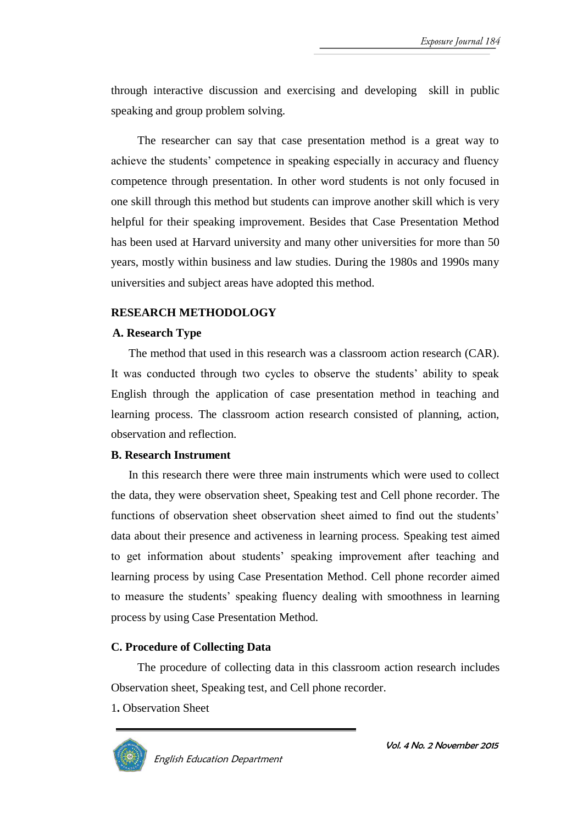through interactive discussion and exercising and developing skill in public speaking and group problem solving.

The researcher can say that case presentation method is a great way to achieve the students' competence in speaking especially in accuracy and fluency competence through presentation. In other word students is not only focused in one skill through this method but students can improve another skill which is very helpful for their speaking improvement. Besides that Case Presentation Method has been used at Harvard university and many other universities for more than 50 years, mostly within business and law studies. During the 1980s and 1990s many universities and subject areas have adopted this method.

#### **RESEARCH METHODOLOGY**

#### **A. Research Type**

The method that used in this research was a classroom action research (CAR). It was conducted through two cycles to observe the students' ability to speak English through the application of case presentation method in teaching and learning process. The classroom action research consisted of planning, action, observation and reflection.

#### **B. Research Instrument**

In this research there were three main instruments which were used to collect the data, they were observation sheet, Speaking test and Cell phone recorder. The functions of observation sheet observation sheet aimed to find out the students' data about their presence and activeness in learning process. Speaking test aimed to get information about students' speaking improvement after teaching and learning process by using Case Presentation Method. Cell phone recorder aimed to measure the students' speaking fluency dealing with smoothness in learning process by using Case Presentation Method.

#### **C. Procedure of Collecting Data**

The procedure of collecting data in this classroom action research includes Observation sheet, Speaking test, and Cell phone recorder.

1**.** Observation Sheet

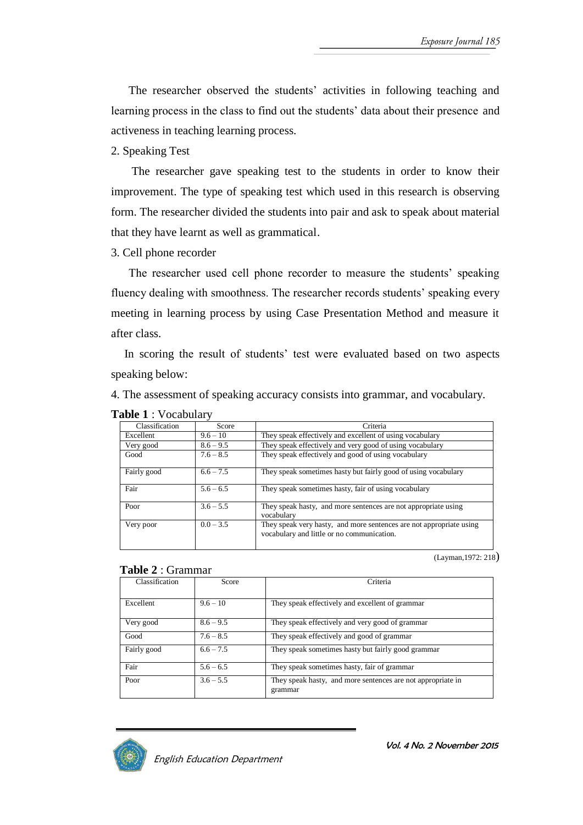The researcher observed the students' activities in following teaching and learning process in the class to find out the students' data about their presence and activeness in teaching learning process.

# 2. Speaking Test

The researcher gave speaking test to the students in order to know their improvement. The type of speaking test which used in this research is observing form. The researcher divided the students into pair and ask to speak about material that they have learnt as well as grammatical.

# 3. Cell phone recorder

The researcher used cell phone recorder to measure the students' speaking fluency dealing with smoothness. The researcher records students' speaking every meeting in learning process by using Case Presentation Method and measure it after class.

In scoring the result of students' test were evaluated based on two aspects speaking below:

4. The assessment of speaking accuracy consists into grammar, and vocabulary.

| Classification | Score       | Criteria                                                                                                          |
|----------------|-------------|-------------------------------------------------------------------------------------------------------------------|
| Excellent      | $9.6 - 10$  | They speak effectively and excellent of using vocabulary                                                          |
| Very good      | $8.6 - 9.5$ | They speak effectively and very good of using vocabulary                                                          |
| Good           | $7.6 - 8.5$ | They speak effectively and good of using vocabulary                                                               |
| Fairly good    | $6.6 - 7.5$ | They speak sometimes hasty but fairly good of using vocabulary                                                    |
| Fair           | $5.6 - 6.5$ | They speak sometimes hasty, fair of using vocabulary                                                              |
| Poor           | $3.6 - 5.5$ | They speak hasty, and more sentences are not appropriate using<br>vocabulary                                      |
| Very poor      | $0.0 - 3.5$ | They speak very hasty, and more sentences are not appropriate using<br>vocabulary and little or no communication. |

# **Table 1** : Vocabulary

(Layman,1972: 218)

#### **Table 2** : Grammar

| Classification | Score       | Criteria                                                               |
|----------------|-------------|------------------------------------------------------------------------|
| Excellent      | $9.6 - 10$  | They speak effectively and excellent of grammar                        |
| Very good      | $8.6 - 9.5$ | They speak effectively and very good of grammar                        |
| Good           | $7.6 - 8.5$ | They speak effectively and good of grammar                             |
| Fairly good    | $6.6 - 7.5$ | They speak sometimes hasty but fairly good grammar                     |
| Fair           | $5.6 - 6.5$ | They speak sometimes hasty, fair of grammar                            |
| Poor           | $3.6 - 5.5$ | They speak hasty, and more sentences are not appropriate in<br>grammar |

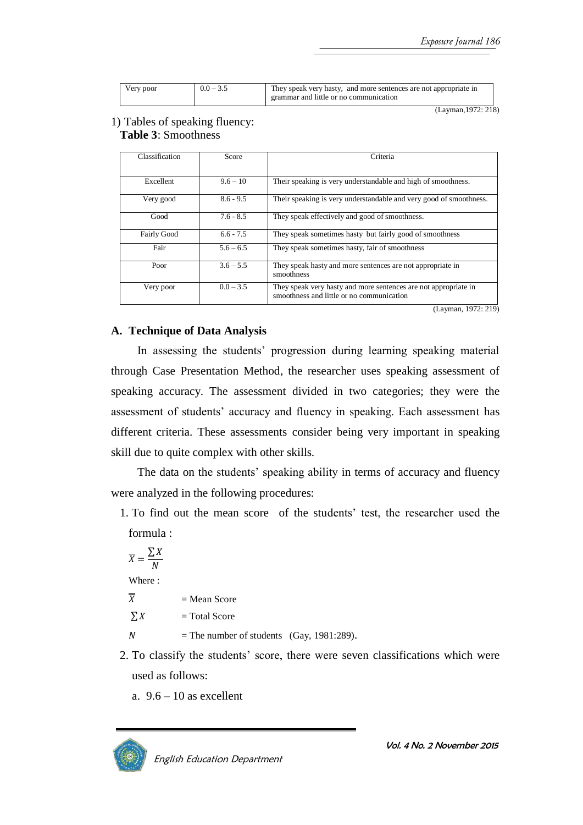| Very poor | $0.0 - 3.5$ | They speak very hasty, and more sentences are not appropriate in |
|-----------|-------------|------------------------------------------------------------------|
|           |             | grammar and little or no communication                           |

(Layman,1972: 218)

#### 1) Tables of speaking fluency: **Table 3**: Smoothness

| Classification     | Score       | Criteria                                                                                                     |
|--------------------|-------------|--------------------------------------------------------------------------------------------------------------|
|                    |             |                                                                                                              |
| Excellent          | $9.6 - 10$  | Their speaking is very understandable and high of smoothness.                                                |
| Very good          | $8.6 - 9.5$ | Their speaking is very understandable and very good of smoothness.                                           |
| Good               | $7.6 - 8.5$ | They speak effectively and good of smoothness.                                                               |
| <b>Fairly Good</b> | $6.6 - 7.5$ | They speak sometimes hasty but fairly good of smoothness                                                     |
| Fair               | $5.6 - 6.5$ | They speak sometimes hasty, fair of smoothness                                                               |
| Poor               | $3.6 - 5.5$ | They speak hasty and more sentences are not appropriate in<br>smoothness                                     |
| Very poor          | $0.0 - 3.5$ | They speak very hasty and more sentences are not appropriate in<br>smoothness and little or no communication |

(Layman, 1972: 219)

#### **A. Technique of Data Analysis**

In assessing the students' progression during learning speaking material through Case Presentation Method, the researcher uses speaking assessment of speaking accuracy. The assessment divided in two categories; they were the assessment of students' accuracy and fluency in speaking. Each assessment has different criteria. These assessments consider being very important in speaking skill due to quite complex with other skills.

The data on the students' speaking ability in terms of accuracy and fluency were analyzed in the following procedures:

1. To find out the mean score of the students' test, the researcher used the formula :

$$
\overline{X} = \frac{\sum X}{N}
$$
  
Where :  

$$
\overline{X}
$$
  

$$
\sum X
$$

= Mean Score

$$
\sum X \qquad \qquad = \text{Total Score}
$$

- $N =$  The number of students (Gay, 1981:289).
- 2. To classify the students' score, there were seven classifications which were used as follows:
	- a.  $9.6 10$  as excellent

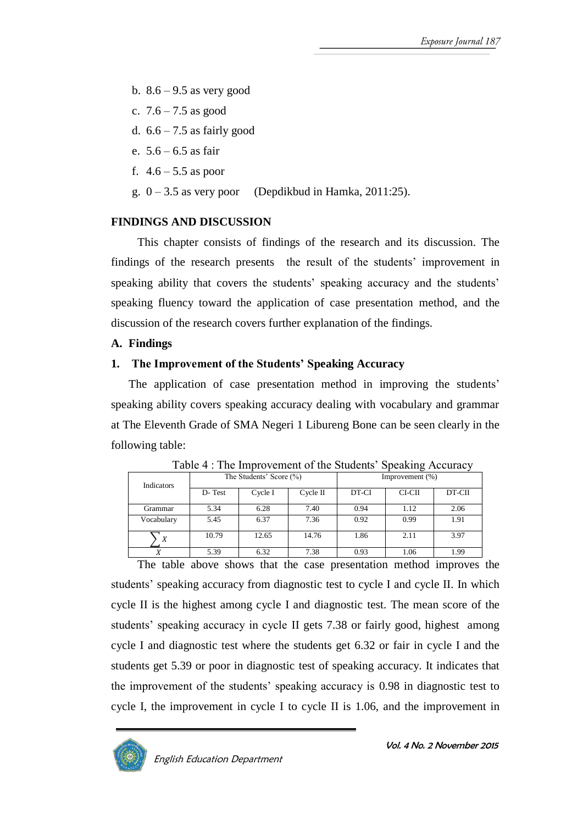- b.  $8.6 9.5$  as very good
- c.  $7.6 7.5$  as good
- d.  $6.6 7.5$  as fairly good
- e.  $5.6 6.5$  as fair
- f.  $4.6 5.5$  as poor
- g.  $0 3.5$  as very poor (Depdikbud in Hamka, 2011:25).

# **FINDINGS AND DISCUSSION**

This chapter consists of findings of the research and its discussion. The findings of the research presents the result of the students' improvement in speaking ability that covers the students' speaking accuracy and the students' speaking fluency toward the application of case presentation method, and the discussion of the research covers further explanation of the findings.

# **A. Findings**

# **1. The Improvement of the Students' Speaking Accuracy**

The application of case presentation method in improving the students' speaking ability covers speaking accuracy dealing with vocabulary and grammar at The Eleventh Grade of SMA Negeri 1 Libureng Bone can be seen clearly in the following table:

|            | Tuble 1. The million ement of the bitalents<br>$\cup \nu$ and $\cup \nu$ and $\nu$ |                         |          |                 |          |        |  |  |  |  |
|------------|------------------------------------------------------------------------------------|-------------------------|----------|-----------------|----------|--------|--|--|--|--|
| Indicators |                                                                                    | The Students' Score (%) |          | Improvement (%) |          |        |  |  |  |  |
|            | D-Test                                                                             | Cycle I                 | Cycle II | DT-CI           | $CI-CII$ | DT-CII |  |  |  |  |
| Grammar    | 5.34                                                                               | 6.28                    | 7.40     | 0.94            | 1.12     | 2.06   |  |  |  |  |
| Vocabulary | 5.45                                                                               | 6.37                    | 7.36     | 0.92            | 0.99     | 1.91   |  |  |  |  |
| X          | 10.79                                                                              | 12.65                   | 14.76    | 1.86            | 2.11     | 3.97   |  |  |  |  |
|            | 5.39                                                                               | 6.32                    | 7.38     | 0.93            | 1.06     | 1.99   |  |  |  |  |

Table  $4 \cdot$  The Improvement of the Students' Speaking Accuracy

The table above shows that the case presentation method improves the students' speaking accuracy from diagnostic test to cycle I and cycle II. In which cycle II is the highest among cycle I and diagnostic test. The mean score of the students' speaking accuracy in cycle II gets 7.38 or fairly good, highest among cycle I and diagnostic test where the students get 6.32 or fair in cycle I and the students get 5.39 or poor in diagnostic test of speaking accuracy. It indicates that the improvement of the students' speaking accuracy is 0.98 in diagnostic test to cycle I, the improvement in cycle I to cycle II is 1.06, and the improvement in

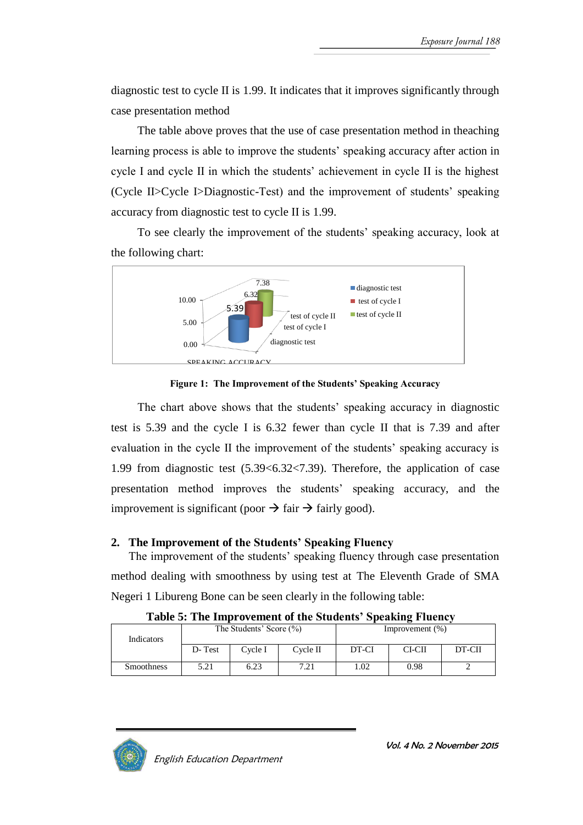diagnostic test to cycle II is 1.99. It indicates that it improves significantly through case presentation method

The table above proves that the use of case presentation method in theaching learning process is able to improve the students' speaking accuracy after action in cycle I and cycle II in which the students' achievement in cycle II is the highest (Cycle II>Cycle I>Diagnostic-Test) and the improvement of students' speaking accuracy from diagnostic test to cycle II is 1.99.

To see clearly the improvement of the students' speaking accuracy, look at the following chart:



**Figure 1: The Improvement of the Students' Speaking Accuracy**

The chart above shows that the students' speaking accuracy in diagnostic test is 5.39 and the cycle I is 6.32 fewer than cycle II that is 7.39 and after evaluation in the cycle II the improvement of the students' speaking accuracy is 1.99 from diagnostic test (5.39<6.32<7.39). Therefore, the application of case presentation method improves the students' speaking accuracy, and the improvement is significant (poor  $\rightarrow$  fair  $\rightarrow$  fairly good).

# **2. The Improvement of the Students' Speaking Fluency**

The improvement of the students' speaking fluency through case presentation method dealing with smoothness by using test at The Eleventh Grade of SMA Negeri 1 Libureng Bone can be seen clearly in the following table:

| Indicators        |        | The Students' Score (%) |          | Improvement $(\%)$ |        |        |  |  |  |
|-------------------|--------|-------------------------|----------|--------------------|--------|--------|--|--|--|
|                   | D-Test | Cycle I                 | Cycle II | DT-CI              | CI-CII | DT-CII |  |  |  |
| <b>Smoothness</b> | 5.21   | 6.23                    | 7.21     | 1.02               | 0.98   |        |  |  |  |

**Table 5: The Improvement of the Students' Speaking Fluency**

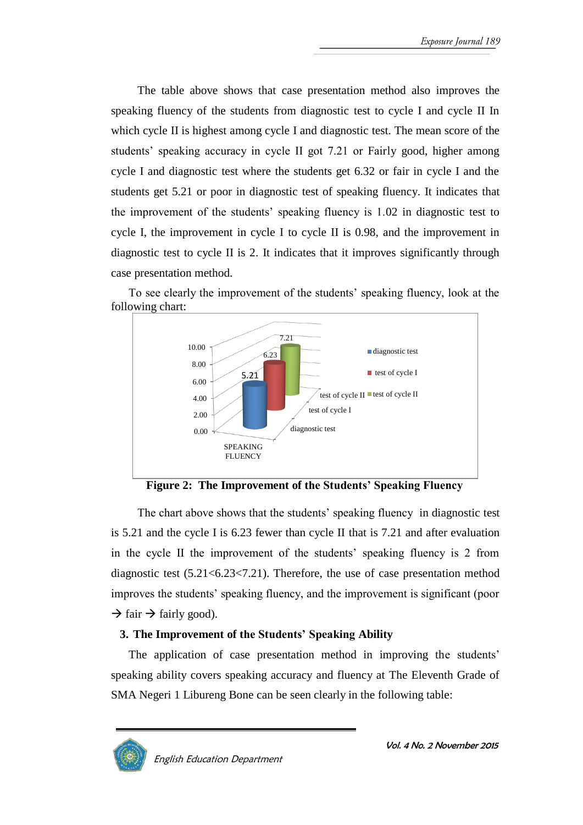The table above shows that case presentation method also improves the speaking fluency of the students from diagnostic test to cycle I and cycle II In which cycle II is highest among cycle I and diagnostic test. The mean score of the students' speaking accuracy in cycle II got 7.21 or Fairly good, higher among cycle I and diagnostic test where the students get 6.32 or fair in cycle I and the students get 5.21 or poor in diagnostic test of speaking fluency. It indicates that the improvement of the students' speaking fluency is 1.02 in diagnostic test to cycle I, the improvement in cycle I to cycle II is 0.98, and the improvement in diagnostic test to cycle II is 2. It indicates that it improves significantly through case presentation method.



To see clearly the improvement of the students' speaking fluency, look at the following chart:

**Figure 2: The Improvement of the Students' Speaking Fluency**

The chart above shows that the students' speaking fluency in diagnostic test is 5.21 and the cycle I is 6.23 fewer than cycle II that is 7.21 and after evaluation in the cycle II the improvement of the students' speaking fluency is 2 from diagnostic test (5.21<6.23<7.21). Therefore, the use of case presentation method improves the students' speaking fluency, and the improvement is significant (poor  $\rightarrow$  fair  $\rightarrow$  fairly good).

# **3. The Improvement of the Students' Speaking Ability**

The application of case presentation method in improving the students' speaking ability covers speaking accuracy and fluency at The Eleventh Grade of SMA Negeri 1 Libureng Bone can be seen clearly in the following table:

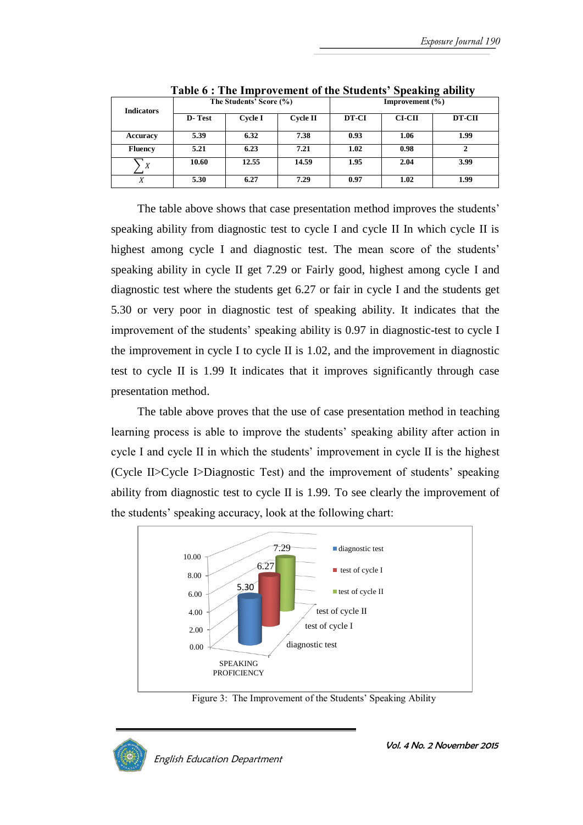| <b>Indicators</b> |        | The Students' Score (%) |                 | <b>Improvement</b> $(\%)$ |          |        |  |  |  |
|-------------------|--------|-------------------------|-----------------|---------------------------|----------|--------|--|--|--|
|                   | D-Test | <b>Cycle I</b>          | <b>Cycle II</b> | DT-CI                     | $CI-CII$ | DT-CII |  |  |  |
| Accuracy          | 5.39   | 6.32                    | 7.38            | 0.93                      | 1.06     | 1.99   |  |  |  |
| <b>Fluency</b>    | 5.21   | 6.23                    | 7.21            | 1.02                      | 0.98     |        |  |  |  |
| X                 | 10.60  | 12.55                   | 14.59           | 1.95                      | 2.04     | 3.99   |  |  |  |
| X                 | 5.30   | 6.27                    | 7.29            | 0.97                      | 1.02     | 1.99   |  |  |  |

**Table 6 : The Improvement of the Students' Speaking ability**

The table above shows that case presentation method improves the students' speaking ability from diagnostic test to cycle I and cycle II In which cycle II is highest among cycle I and diagnostic test. The mean score of the students' speaking ability in cycle II get 7.29 or Fairly good, highest among cycle I and diagnostic test where the students get 6.27 or fair in cycle I and the students get 5.30 or very poor in diagnostic test of speaking ability. It indicates that the improvement of the students' speaking ability is 0.97 in diagnostic-test to cycle I the improvement in cycle I to cycle II is 1.02, and the improvement in diagnostic test to cycle II is 1.99 It indicates that it improves significantly through case presentation method.

The table above proves that the use of case presentation method in teaching learning process is able to improve the students' speaking ability after action in cycle I and cycle II in which the students' improvement in cycle II is the highest (Cycle II>Cycle I>Diagnostic Test) and the improvement of students' speaking ability from diagnostic test to cycle II is 1.99. To see clearly the improvement of the students' speaking accuracy, look at the following chart:



Figure 3: The Improvement of the Students' Speaking Ability

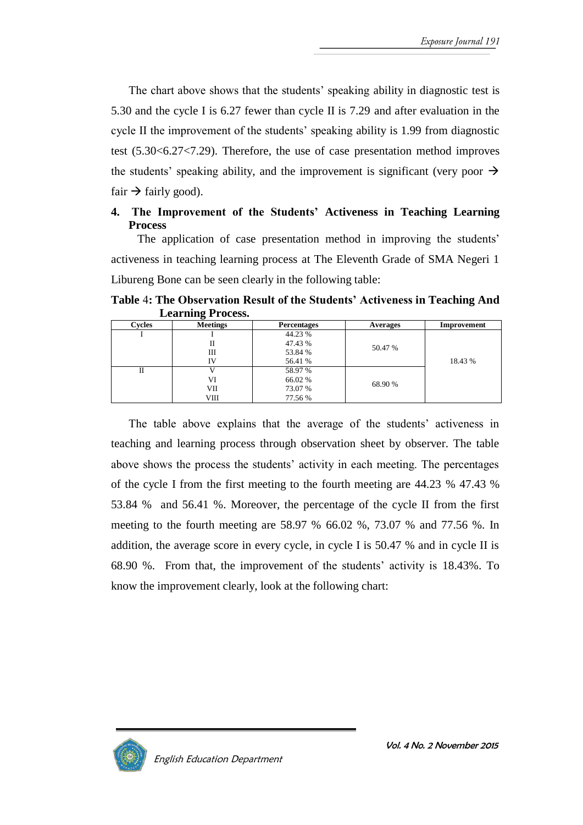The chart above shows that the students' speaking ability in diagnostic test is 5.30 and the cycle I is 6.27 fewer than cycle II is 7.29 and after evaluation in the cycle II the improvement of the students' speaking ability is 1.99 from diagnostic test (5.30<6.27<7.29). Therefore, the use of case presentation method improves the students' speaking ability, and the improvement is significant (very poor  $\rightarrow$ fair  $\rightarrow$  fairly good).

# **4. The Improvement of the Students' Activeness in Teaching Learning Process**

The application of case presentation method in improving the students' activeness in teaching learning process at The Eleventh Grade of SMA Negeri 1 Libureng Bone can be seen clearly in the following table:

|        | LUCAL HINE 1 TUCUSS. |                    |          |             |  |
|--------|----------------------|--------------------|----------|-------------|--|
| Cycles | <b>Meetings</b>      | <b>Percentages</b> | Averages | Improvement |  |
|        |                      | 44.23 %            |          |             |  |
|        | П                    | 47.43 %            | 50.47 %  |             |  |
|        | Ш                    | 53.84 %            |          |             |  |
|        | IV                   | 56.41 %            |          | 18.43 %     |  |
| Н      |                      | 58.97 %            |          |             |  |
|        | VI                   | 66.02 %            | 68.90 %  |             |  |
|        | VІІ                  | 73.07 %            |          |             |  |
|        | VШ                   | 77.56 %            |          |             |  |

**Table** 4**: The Observation Result of the Students' Activeness in Teaching And Learning Process.**

The table above explains that the average of the students' activeness in teaching and learning process through observation sheet by observer. The table above shows the process the students' activity in each meeting. The percentages of the cycle I from the first meeting to the fourth meeting are 44.23 % 47.43 % 53.84 % and 56.41 %. Moreover, the percentage of the cycle II from the first meeting to the fourth meeting are 58.97 % 66.02 %, 73.07 % and 77.56 %. In addition, the average score in every cycle, in cycle I is 50.47 % and in cycle II is 68.90 %. From that, the improvement of the students' activity is 18.43%. To know the improvement clearly, look at the following chart:

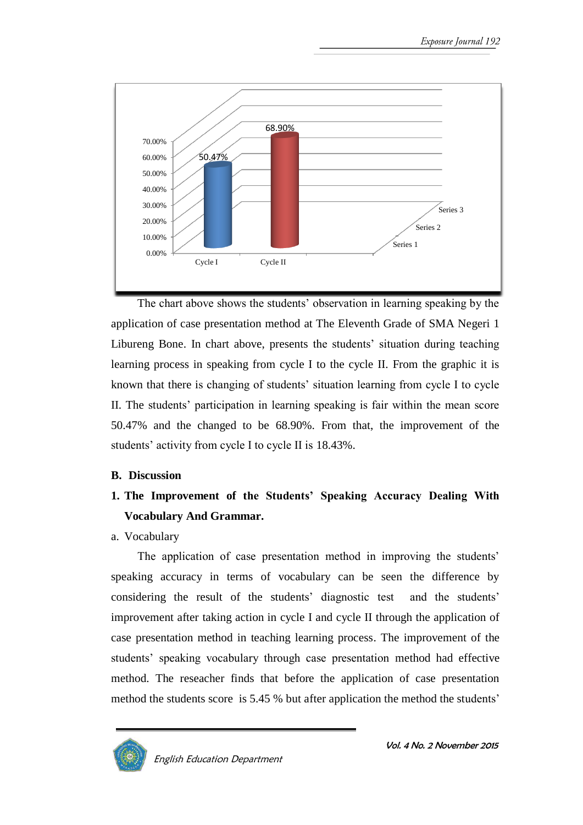

The chart above shows the students' observation in learning speaking by the application of case presentation method at The Eleventh Grade of SMA Negeri 1 Libureng Bone. In chart above, presents the students' situation during teaching learning process in speaking from cycle I to the cycle II. From the graphic it is known that there is changing of students' situation learning from cycle I to cycle II. The students' participation in learning speaking is fair within the mean score 50.47% and the changed to be 68.90%. From that, the improvement of the students' activity from cycle I to cycle II is 18.43%.

# **B. Discussion**

- **1. The Improvement of the Students' Speaking Accuracy Dealing With Vocabulary And Grammar.**
- a. Vocabulary

The application of case presentation method in improving the students' speaking accuracy in terms of vocabulary can be seen the difference by considering the result of the students' diagnostic test and the students' improvement after taking action in cycle I and cycle II through the application of case presentation method in teaching learning process. The improvement of the students' speaking vocabulary through case presentation method had effective method. The reseacher finds that before the application of case presentation method the students score is 5.45 % but after application the method the students'

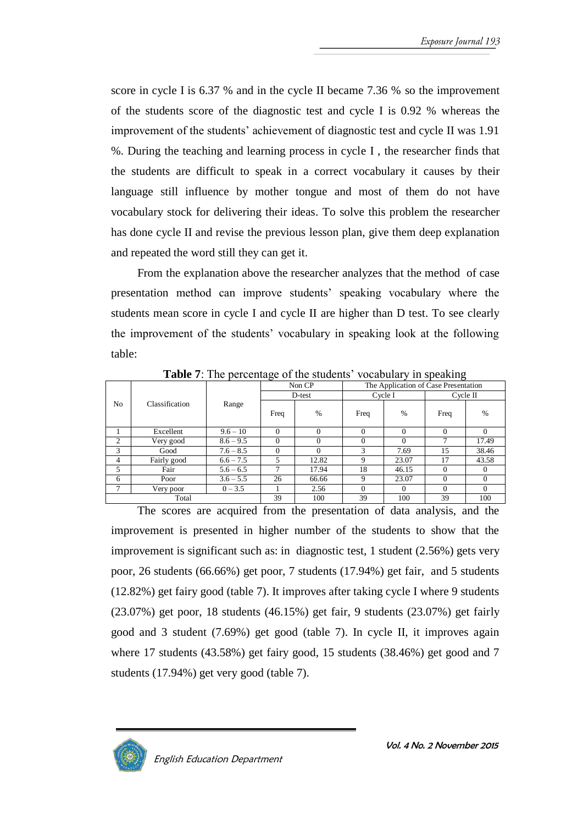score in cycle I is 6.37 % and in the cycle II became 7.36 % so the improvement of the students score of the diagnostic test and cycle I is 0.92 % whereas the improvement of the students' achievement of diagnostic test and cycle II was 1.91 %. During the teaching and learning process in cycle I , the researcher finds that the students are difficult to speak in a correct vocabulary it causes by their language still influence by mother tongue and most of them do not have vocabulary stock for delivering their ideas. To solve this problem the researcher has done cycle II and revise the previous lesson plan, give them deep explanation and repeated the word still they can get it.

From the explanation above the researcher analyzes that the method of case presentation method can improve students' speaking vocabulary where the students mean score in cycle I and cycle II are higher than D test. To see clearly the improvement of the students' vocabulary in speaking look at the following table:

|                | -- 0<br>- 0    |             |              |          |                                      |          |             |          |  |  |  |
|----------------|----------------|-------------|--------------|----------|--------------------------------------|----------|-------------|----------|--|--|--|
|                |                |             | Non CP       |          | The Application of Case Presentation |          |             |          |  |  |  |
|                |                |             | D-test       |          | Cycle I                              |          | $C$ vcle II |          |  |  |  |
| No             | Classification | Range       | Freq         | %        | Freq                                 | $\%$     | Freq        | $\%$     |  |  |  |
|                | Excellent      | $9.6 - 10$  | $\Omega$     | $\Omega$ | $\Omega$                             | $\Omega$ | $\Omega$    | 0        |  |  |  |
| $\overline{2}$ | Very good      | $8.6 - 9.5$ | $\Omega$     | $\Omega$ | $\Omega$                             | $\Omega$ |             | 17.49    |  |  |  |
| 3              | Good           | $7.6 - 8.5$ | $\mathbf{0}$ | $\Omega$ | 3                                    | 7.69     | 15          | 38.46    |  |  |  |
| 4              | Fairly good    | $6.6 - 7.5$ | 5            | 12.82    | 9                                    | 23.07    | 17          | 43.58    |  |  |  |
| 5              | Fair           | $5.6 - 6.5$ | 7            | 17.94    | 18                                   | 46.15    | $\theta$    | $\theta$ |  |  |  |
| 6              | Poor           | $3.6 - 5.5$ | 26           | 66.66    | 9                                    | 23.07    | $\Omega$    |          |  |  |  |
| ⇁              | Very poor      | $0 - 3.5$   |              | 2.56     | $\Omega$                             | $\Omega$ | $\Omega$    | 0        |  |  |  |
|                | Total          |             | 39           | 100      | 39                                   | 100      | 39          | 100      |  |  |  |

**Table 7:** The percentage of the students' vocabulary in speaking

The scores are acquired from the presentation of data analysis, and the improvement is presented in higher number of the students to show that the improvement is significant such as: in diagnostic test, 1 student (2.56%) gets very poor, 26 students (66.66%) get poor, 7 students (17.94%) get fair, and 5 students (12.82%) get fairy good (table 7). It improves after taking cycle I where 9 students (23.07%) get poor, 18 students (46.15%) get fair, 9 students (23.07%) get fairly good and 3 student (7.69%) get good (table 7). In cycle II, it improves again where 17 students (43.58%) get fairy good, 15 students (38.46%) get good and 7 students (17.94%) get very good (table 7).



Vol. 4 No. 2 November 2015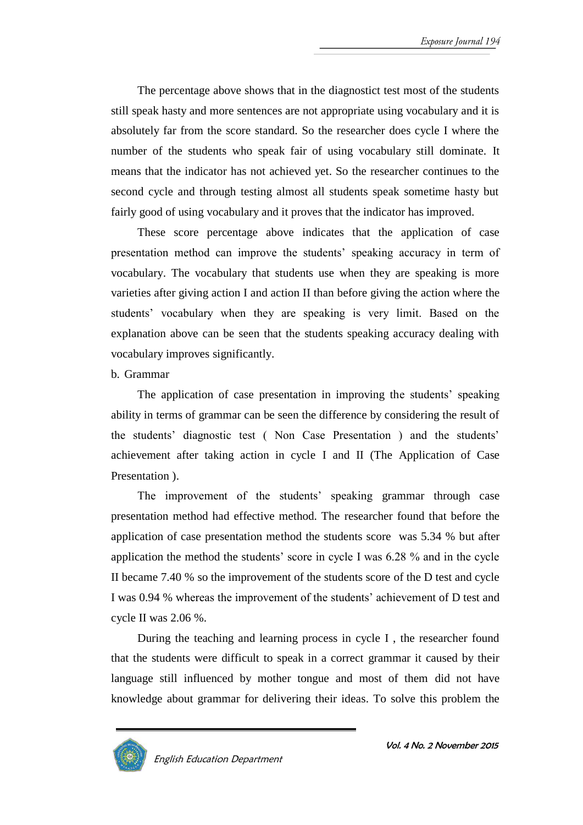The percentage above shows that in the diagnostict test most of the students still speak hasty and more sentences are not appropriate using vocabulary and it is absolutely far from the score standard. So the researcher does cycle I where the number of the students who speak fair of using vocabulary still dominate. It means that the indicator has not achieved yet. So the researcher continues to the second cycle and through testing almost all students speak sometime hasty but fairly good of using vocabulary and it proves that the indicator has improved.

These score percentage above indicates that the application of case presentation method can improve the students' speaking accuracy in term of vocabulary. The vocabulary that students use when they are speaking is more varieties after giving action I and action II than before giving the action where the students' vocabulary when they are speaking is very limit. Based on the explanation above can be seen that the students speaking accuracy dealing with vocabulary improves significantly.

# b. Grammar

The application of case presentation in improving the students' speaking ability in terms of grammar can be seen the difference by considering the result of the students' diagnostic test ( Non Case Presentation ) and the students' achievement after taking action in cycle I and II (The Application of Case Presentation ).

The improvement of the students' speaking grammar through case presentation method had effective method. The researcher found that before the application of case presentation method the students score was 5.34 % but after application the method the students' score in cycle I was 6.28 % and in the cycle II became 7.40 % so the improvement of the students score of the D test and cycle I was 0.94 % whereas the improvement of the students' achievement of D test and cycle II was 2.06 %.

During the teaching and learning process in cycle I , the researcher found that the students were difficult to speak in a correct grammar it caused by their language still influenced by mother tongue and most of them did not have knowledge about grammar for delivering their ideas. To solve this problem the

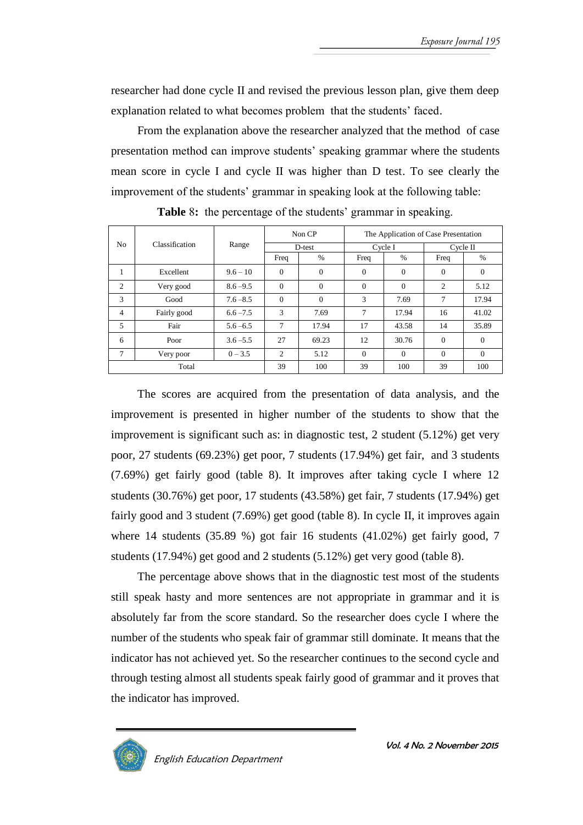researcher had done cycle II and revised the previous lesson plan, give them deep explanation related to what becomes problem that the students' faced.

From the explanation above the researcher analyzed that the method of case presentation method can improve students' speaking grammar where the students mean score in cycle I and cycle II was higher than D test. To see clearly the improvement of the students' grammar in speaking look at the following table:

|                |                |             | Non CP         |              | The Application of Case Presentation |          |          |               |
|----------------|----------------|-------------|----------------|--------------|--------------------------------------|----------|----------|---------------|
| N <sub>0</sub> | Classification | Range       | D-test         |              |                                      | Cycle I  |          | $C$ vcle $II$ |
|                |                |             | Freq           | $\%$         | Freq                                 | $\%$     | Freq     | %             |
| л.             | Excellent      | $9.6 - 10$  | $\Omega$       | $\mathbf{0}$ | $\theta$                             | $\theta$ | $\Omega$ | $\Omega$      |
| 2              | Very good      | $8.6 - 9.5$ | $\theta$       | $\mathbf{0}$ | $\Omega$                             | $\Omega$ | 2        | 5.12          |
| 3              | Good           | $7.6 - 8.5$ | $\Omega$       | $\mathbf{0}$ | 3                                    | 7.69     | 7        | 17.94         |
| $\overline{4}$ | Fairly good    | $6.6 - 7.5$ | 3              | 7.69         | 7                                    | 17.94    | 16       | 41.02         |
| 5              | Fair           | $5.6 - 6.5$ | 7              | 17.94        | 17                                   | 43.58    | 14       | 35.89         |
| 6              | Poor           | $3.6 - 5.5$ | 27             | 69.23        | 12                                   | 30.76    | $\theta$ | $\Omega$      |
| 7              | Very poor      | $0 - 3.5$   | $\overline{2}$ | 5.12         | $\Omega$                             | $\Omega$ | $\Omega$ | $\Omega$      |
|                | Total          |             | 39             | 100          | 39                                   | 100      | 39       | 100           |

**Table** 8**:** the percentage of the students' grammar in speaking.

The scores are acquired from the presentation of data analysis, and the improvement is presented in higher number of the students to show that the improvement is significant such as: in diagnostic test, 2 student  $(5.12\%)$  get very poor, 27 students (69.23%) get poor, 7 students (17.94%) get fair, and 3 students (7.69%) get fairly good (table 8). It improves after taking cycle I where 12 students (30.76%) get poor, 17 students (43.58%) get fair, 7 students (17.94%) get fairly good and 3 student (7.69%) get good (table 8). In cycle II, it improves again where 14 students (35.89 %) got fair 16 students (41.02%) get fairly good, 7 students (17.94%) get good and 2 students (5.12%) get very good (table 8).

The percentage above shows that in the diagnostic test most of the students still speak hasty and more sentences are not appropriate in grammar and it is absolutely far from the score standard. So the researcher does cycle I where the number of the students who speak fair of grammar still dominate. It means that the indicator has not achieved yet. So the researcher continues to the second cycle and through testing almost all students speak fairly good of grammar and it proves that the indicator has improved.



English Education Department

Vol. 4 No. 2 November 2015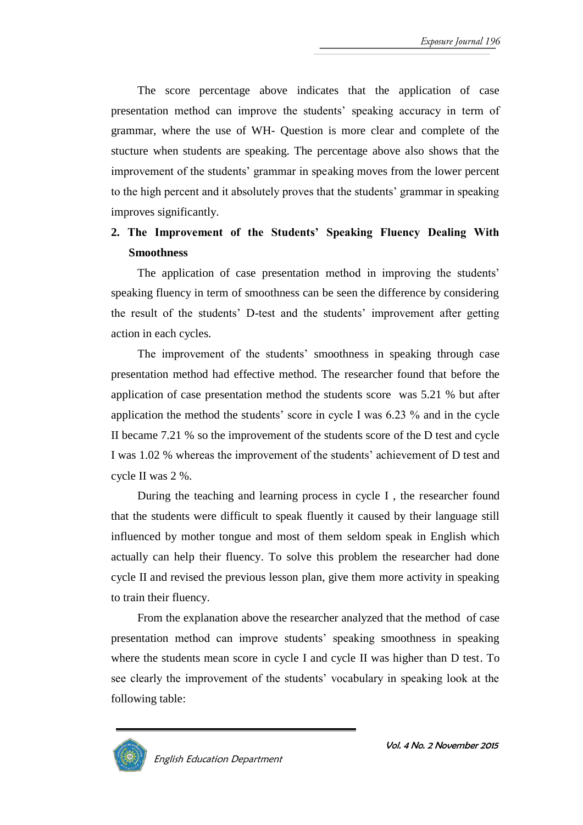The score percentage above indicates that the application of case presentation method can improve the students' speaking accuracy in term of grammar, where the use of WH- Question is more clear and complete of the stucture when students are speaking. The percentage above also shows that the improvement of the students' grammar in speaking moves from the lower percent to the high percent and it absolutely proves that the students' grammar in speaking improves significantly.

# **2. The Improvement of the Students' Speaking Fluency Dealing With Smoothness**

The application of case presentation method in improving the students' speaking fluency in term of smoothness can be seen the difference by considering the result of the students' D-test and the students' improvement after getting action in each cycles.

The improvement of the students' smoothness in speaking through case presentation method had effective method. The researcher found that before the application of case presentation method the students score was 5.21 % but after application the method the students' score in cycle I was 6.23 % and in the cycle II became 7.21 % so the improvement of the students score of the D test and cycle I was 1.02 % whereas the improvement of the students' achievement of D test and cycle II was 2 %.

During the teaching and learning process in cycle I , the researcher found that the students were difficult to speak fluently it caused by their language still influenced by mother tongue and most of them seldom speak in English which actually can help their fluency. To solve this problem the researcher had done cycle II and revised the previous lesson plan, give them more activity in speaking to train their fluency.

From the explanation above the researcher analyzed that the method of case presentation method can improve students' speaking smoothness in speaking where the students mean score in cycle I and cycle II was higher than D test. To see clearly the improvement of the students' vocabulary in speaking look at the following table:



English Education Department

Vol. 4 No. 2 November 2015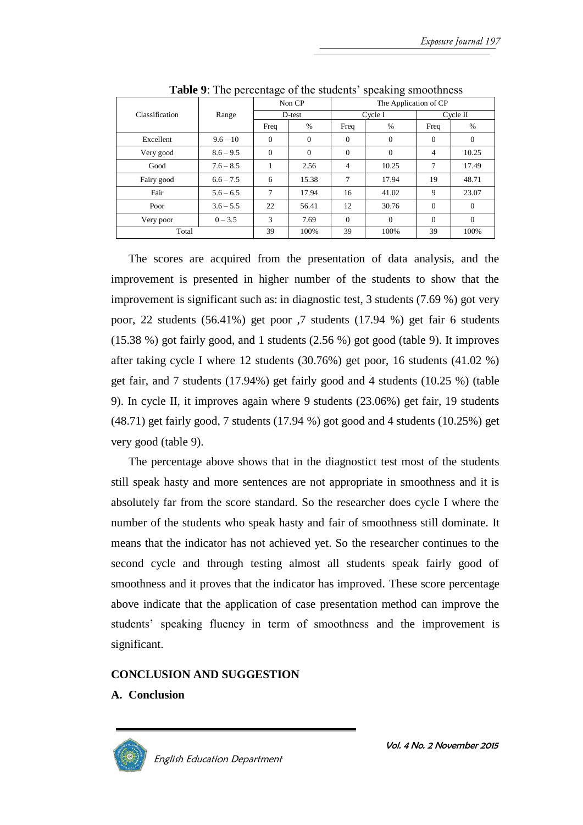|                |             | ີ              |              |                       |                |          |                |  |
|----------------|-------------|----------------|--------------|-----------------------|----------------|----------|----------------|--|
|                |             | Non CP         |              | The Application of CP |                |          |                |  |
| Classification | Range       | D-test         |              |                       | Cycle I        |          | $C$ vcle $\Pi$ |  |
|                |             | Freq           | $\%$         | Freq                  | $\%$           | Freq     | $\frac{0}{0}$  |  |
| Excellent      | $9.6 - 10$  | $\overline{0}$ | $\theta$     | $\theta$              | $\overline{0}$ | $\Omega$ | $\theta$       |  |
| Very good      | $8.6 - 9.5$ | $\Omega$       | $\mathbf{0}$ | $\Omega$              | $\theta$       | 4        | 10.25          |  |
| Good           | $7.6 - 8.5$ |                | 2.56         | $\overline{4}$        | 10.25          | 7        | 17.49          |  |
| Fairy good     | $6.6 - 7.5$ | 6              | 15.38        | 7                     | 17.94          | 19       | 48.71          |  |
| Fair           | $5.6 - 6.5$ | 7              | 17.94        | 16                    | 41.02          | 9        | 23.07          |  |
| Poor           | $3.6 - 5.5$ | 22             | 56.41        | 12                    | 30.76          | $\Omega$ | $\Omega$       |  |
| Very poor      | $0 - 3.5$   | 3              | 7.69         | $\Omega$              | $\Omega$       | $\Omega$ | $\Omega$       |  |
| Total          |             | 39             | 100%         | 39                    | 100%           | 39       | 100%           |  |

**Table 9**: The percentage of the students' speaking smoothness

The scores are acquired from the presentation of data analysis, and the improvement is presented in higher number of the students to show that the improvement is significant such as: in diagnostic test, 3 students (7.69 %) got very poor, 22 students (56.41%) get poor ,7 students (17.94 %) get fair 6 students (15.38 %) got fairly good, and 1 students (2.56 %) got good (table 9). It improves after taking cycle I where 12 students (30.76%) get poor, 16 students (41.02 %) get fair, and 7 students (17.94%) get fairly good and 4 students (10.25 %) (table 9). In cycle II, it improves again where 9 students (23.06%) get fair, 19 students (48.71) get fairly good, 7 students (17.94 %) got good and 4 students (10.25%) get very good (table 9).

The percentage above shows that in the diagnostict test most of the students still speak hasty and more sentences are not appropriate in smoothness and it is absolutely far from the score standard. So the researcher does cycle I where the number of the students who speak hasty and fair of smoothness still dominate. It means that the indicator has not achieved yet. So the researcher continues to the second cycle and through testing almost all students speak fairly good of smoothness and it proves that the indicator has improved. These score percentage above indicate that the application of case presentation method can improve the students' speaking fluency in term of smoothness and the improvement is significant.

# **CONCLUSION AND SUGGESTION**

# **A. Conclusion**

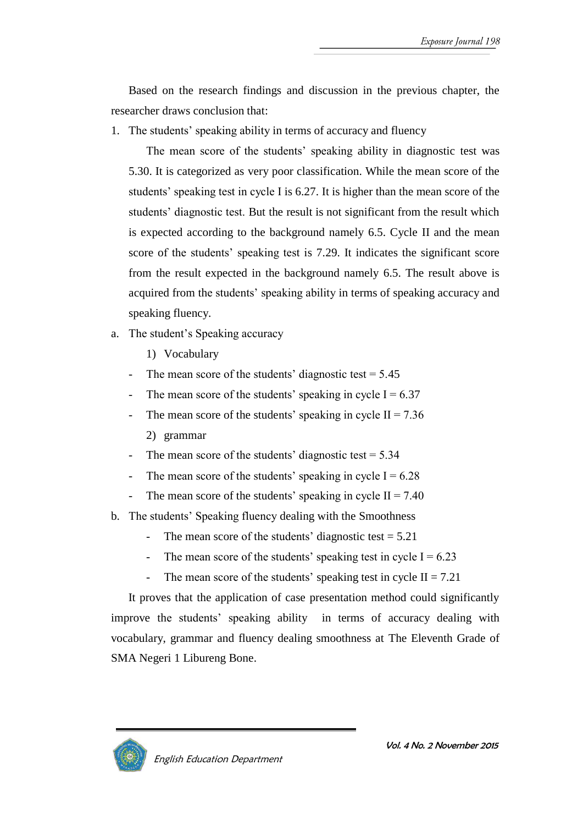Based on the research findings and discussion in the previous chapter, the researcher draws conclusion that:

1. The students' speaking ability in terms of accuracy and fluency

The mean score of the students' speaking ability in diagnostic test was 5.30. It is categorized as very poor classification. While the mean score of the students' speaking test in cycle I is 6.27. It is higher than the mean score of the students' diagnostic test. But the result is not significant from the result which is expected according to the background namely 6.5. Cycle II and the mean score of the students' speaking test is 7.29. It indicates the significant score from the result expected in the background namely 6.5. The result above is acquired from the students' speaking ability in terms of speaking accuracy and speaking fluency.

- a. The student's Speaking accuracy
	- 1) Vocabulary
	- The mean score of the students' diagnostic test  $= 5.45$
	- The mean score of the students' speaking in cycle  $I = 6.37$
	- The mean score of the students' speaking in cycle  $II = 7.36$ 2) grammar
	- The mean score of the students' diagnostic test  $= 5.34$
	- The mean score of the students' speaking in cycle  $I = 6.28$
	- The mean score of the students' speaking in cycle  $II = 7.40$
- b. The students' Speaking fluency dealing with the Smoothness
	- The mean score of the students' diagnostic test  $= 5.21$
	- The mean score of the students' speaking test in cycle  $I = 6.23$
	- The mean score of the students' speaking test in cycle  $II = 7.21$

It proves that the application of case presentation method could significantly improve the students' speaking ability in terms of accuracy dealing with vocabulary, grammar and fluency dealing smoothness at The Eleventh Grade of SMA Negeri 1 Libureng Bone.

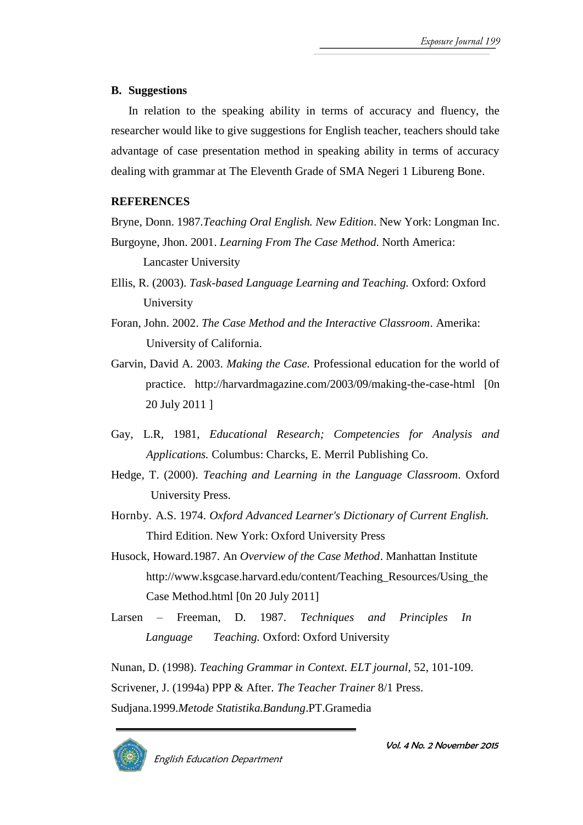# **B. Suggestions**

In relation to the speaking ability in terms of accuracy and fluency, the researcher would like to give suggestions for English teacher, teachers should take advantage of case presentation method in speaking ability in terms of accuracy dealing with grammar at The Eleventh Grade of SMA Negeri 1 Libureng Bone.

### **REFERENCES**

Bryne, Donn. 1987.*Teaching Oral English. New Edition*. New York: Longman Inc. Burgoyne, Jhon. 2001. *Learning From The Case Method*. North America:

Lancaster University

- Ellis, R. (2003). *Task-based Language Learning and Teaching.* Oxford: Oxford University
- Foran, John. 2002. *The Case Method and the Interactive Classroom*. Amerika: University of California.
- Garvin, David A. 2003. *Making the Case.* Professional education for the world of practice. http://harvardmagazine.com/2003/09/making-the-case-html [0n 20 July 2011 ]
- Gay, L.R, 1981, *Educational Research; Competencies for Analysis and Applications.* Columbus: Charcks, E. Merril Publishing Co.
- Hedge, T. (2000). *Teaching and Learning in the Language Classroom*. Oxford University Press.
- Hornby. A.S. 1974. *Oxford Advanced Learner's Dictionary of Current English.*  Third Edition. New York: Oxford University Press
- Husock, Howard.1987. An *Overview of the Case Method*. Manhattan Institute http://www.ksgcase.harvard.edu/content/Teaching\_Resources/Using\_the Case Method.html [0n 20 July 2011]
- Larsen Freeman, D. 1987. *Techniques and Principles In Language Teaching.* Oxford: Oxford University

Nunan, D. (1998). *Teaching Grammar in Context. ELT journal,* 52, 101-109. Scrivener, J. (1994a) PPP & After. *The Teacher Trainer* 8/1 Press. Sudjana.1999.*Metode Statistika.Bandung*.PT.Gramedia